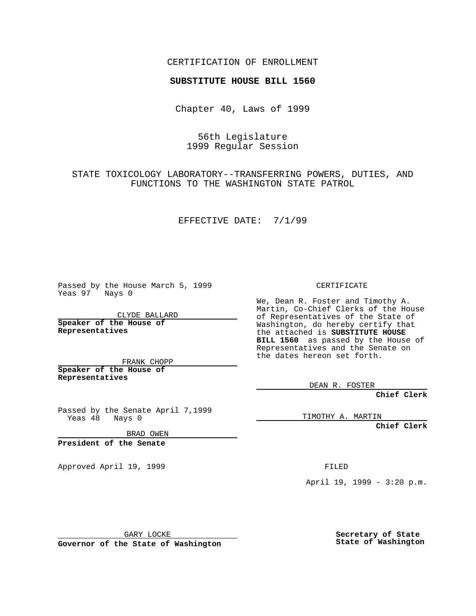CERTIFICATION OF ENROLLMENT

# **SUBSTITUTE HOUSE BILL 1560**

Chapter 40, Laws of 1999

## 56th Legislature 1999 Regular Session

STATE TOXICOLOGY LABORATORY--TRANSFERRING POWERS, DUTIES, AND FUNCTIONS TO THE WASHINGTON STATE PATROL

#### EFFECTIVE DATE: 7/1/99

Passed by the House March 5, 1999 Yeas 97 Nays 0

CLYDE BALLARD **Speaker of the House of Representatives**

FRANK CHOPP **Speaker of the House of Representatives**

Passed by the Senate April 7,1999<br>Yeas 48 Nays 0 Nays 0

BRAD OWEN

**President of the Senate**

Approved April 19, 1999 **FILED** 

CERTIFICATE

We, Dean R. Foster and Timothy A. Martin, Co-Chief Clerks of the House of Representatives of the State of Washington, do hereby certify that the attached is **SUBSTITUTE HOUSE BILL 1560** as passed by the House of Representatives and the Senate on the dates hereon set forth.

DEAN R. FOSTER

**Chief Clerk**

TIMOTHY A. MARTIN

**Chief Clerk**

April 19, 1999 - 3:20 p.m.

GARY LOCKE

**Governor of the State of Washington**

**Secretary of State State of Washington**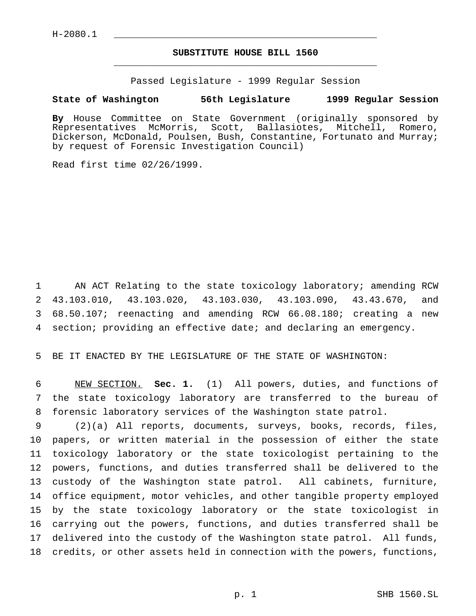# **SUBSTITUTE HOUSE BILL 1560** \_\_\_\_\_\_\_\_\_\_\_\_\_\_\_\_\_\_\_\_\_\_\_\_\_\_\_\_\_\_\_\_\_\_\_\_\_\_\_\_\_\_\_\_\_\_\_

Passed Legislature - 1999 Regular Session

### **State of Washington 56th Legislature 1999 Regular Session**

**By** House Committee on State Government (originally sponsored by Representatives McMorris, Scott, Ballasiotes, Mitchell, Romero, Dickerson, McDonald, Poulsen, Bush, Constantine, Fortunato and Murray; by request of Forensic Investigation Council)

Read first time 02/26/1999.

 AN ACT Relating to the state toxicology laboratory; amending RCW 43.103.010, 43.103.020, 43.103.030, 43.103.090, 43.43.670, and 68.50.107; reenacting and amending RCW 66.08.180; creating a new section; providing an effective date; and declaring an emergency.

BE IT ENACTED BY THE LEGISLATURE OF THE STATE OF WASHINGTON:

 NEW SECTION. **Sec. 1.** (1) All powers, duties, and functions of the state toxicology laboratory are transferred to the bureau of forensic laboratory services of the Washington state patrol.

 (2)(a) All reports, documents, surveys, books, records, files, papers, or written material in the possession of either the state toxicology laboratory or the state toxicologist pertaining to the powers, functions, and duties transferred shall be delivered to the custody of the Washington state patrol. All cabinets, furniture, office equipment, motor vehicles, and other tangible property employed by the state toxicology laboratory or the state toxicologist in carrying out the powers, functions, and duties transferred shall be delivered into the custody of the Washington state patrol. All funds, credits, or other assets held in connection with the powers, functions,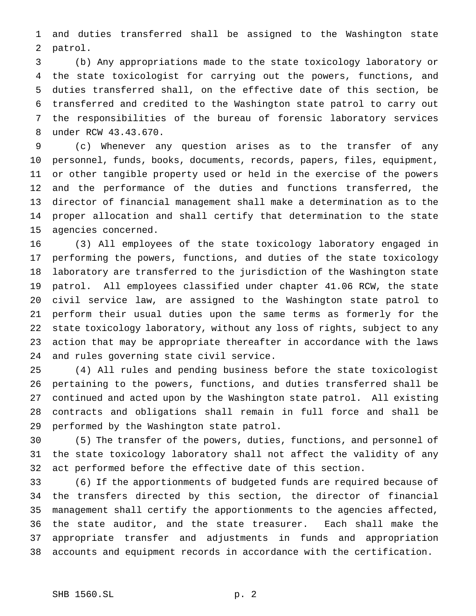and duties transferred shall be assigned to the Washington state patrol.

 (b) Any appropriations made to the state toxicology laboratory or the state toxicologist for carrying out the powers, functions, and duties transferred shall, on the effective date of this section, be transferred and credited to the Washington state patrol to carry out the responsibilities of the bureau of forensic laboratory services under RCW 43.43.670.

 (c) Whenever any question arises as to the transfer of any personnel, funds, books, documents, records, papers, files, equipment, or other tangible property used or held in the exercise of the powers and the performance of the duties and functions transferred, the director of financial management shall make a determination as to the proper allocation and shall certify that determination to the state agencies concerned.

 (3) All employees of the state toxicology laboratory engaged in performing the powers, functions, and duties of the state toxicology laboratory are transferred to the jurisdiction of the Washington state patrol. All employees classified under chapter 41.06 RCW, the state civil service law, are assigned to the Washington state patrol to perform their usual duties upon the same terms as formerly for the state toxicology laboratory, without any loss of rights, subject to any action that may be appropriate thereafter in accordance with the laws and rules governing state civil service.

 (4) All rules and pending business before the state toxicologist pertaining to the powers, functions, and duties transferred shall be continued and acted upon by the Washington state patrol. All existing contracts and obligations shall remain in full force and shall be performed by the Washington state patrol.

 (5) The transfer of the powers, duties, functions, and personnel of the state toxicology laboratory shall not affect the validity of any act performed before the effective date of this section.

 (6) If the apportionments of budgeted funds are required because of the transfers directed by this section, the director of financial management shall certify the apportionments to the agencies affected, the state auditor, and the state treasurer. Each shall make the appropriate transfer and adjustments in funds and appropriation accounts and equipment records in accordance with the certification.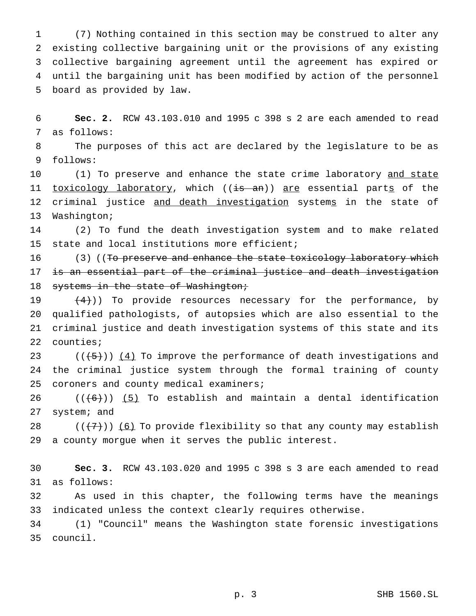(7) Nothing contained in this section may be construed to alter any existing collective bargaining unit or the provisions of any existing collective bargaining agreement until the agreement has expired or until the bargaining unit has been modified by action of the personnel board as provided by law.

 **Sec. 2.** RCW 43.103.010 and 1995 c 398 s 2 are each amended to read as follows:

 The purposes of this act are declared by the legislature to be as follows:

10 (1) To preserve and enhance the state crime laboratory and state 11 toxicology laboratory, which ((is an)) are essential parts of the 12 criminal justice and death investigation systems in the state of Washington;

 (2) To fund the death investigation system and to make related state and local institutions more efficient;

16 (3) ((To preserve and enhance the state toxicology laboratory which is an essential part of the criminal justice and death investigation 18 systems in the state of Washington;

 $(4)$ )) To provide resources necessary for the performance, by qualified pathologists, of autopsies which are also essential to the criminal justice and death investigation systems of this state and its counties;

23  $((+5))$   $(4)$  To improve the performance of death investigations and the criminal justice system through the formal training of county 25 coroners and county medical examiners;

 $((6))$  (5) To establish and maintain a dental identification system; and

 $((\langle 7\rangle)(6)$  To provide flexibility so that any county may establish a county morgue when it serves the public interest.

 **Sec. 3.** RCW 43.103.020 and 1995 c 398 s 3 are each amended to read as follows:

 As used in this chapter, the following terms have the meanings indicated unless the context clearly requires otherwise.

 (1) "Council" means the Washington state forensic investigations council.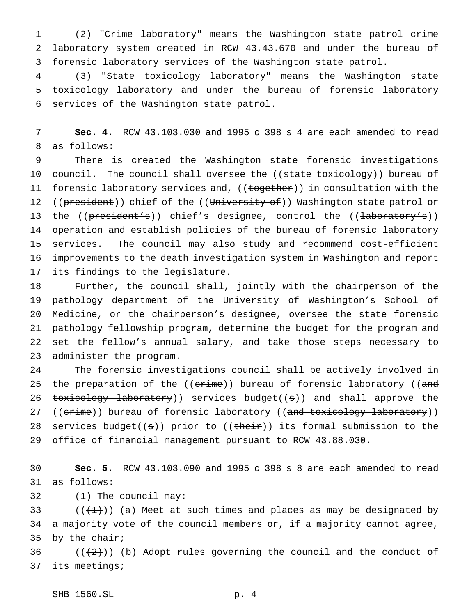(2) "Crime laboratory" means the Washington state patrol crime laboratory system created in RCW 43.43.670 and under the bureau of 3 forensic laboratory services of the Washington state patrol.

 (3) "State toxicology laboratory" means the Washington state toxicology laboratory and under the bureau of forensic laboratory services of the Washington state patrol.

 **Sec. 4.** RCW 43.103.030 and 1995 c 398 s 4 are each amended to read as follows:

 There is created the Washington state forensic investigations 10 council. The council shall oversee the ((state toxicology)) bureau of 11 forensic laboratory services and, ((together)) in consultation with the 12 ((president)) chief of the ((University of)) Washington state patrol or 13 the ((president's)) chief's designee, control the ((laboratory's)) 14 operation and establish policies of the bureau of forensic laboratory 15 services. The council may also study and recommend cost-efficient improvements to the death investigation system in Washington and report its findings to the legislature.

 Further, the council shall, jointly with the chairperson of the pathology department of the University of Washington's School of Medicine, or the chairperson's designee, oversee the state forensic pathology fellowship program, determine the budget for the program and set the fellow's annual salary, and take those steps necessary to administer the program.

 The forensic investigations council shall be actively involved in 25 the preparation of the ((crime)) bureau of forensic laboratory ((and 26 toxicology laboratory)) services budget((s)) and shall approve the 27 ((crime)) bureau of forensic laboratory ((and toxicology laboratory)) 28 services budget( $(s)$ ) prior to ( $(t$ heir)) its formal submission to the office of financial management pursuant to RCW 43.88.030.

 **Sec. 5.** RCW 43.103.090 and 1995 c 398 s 8 are each amended to read as follows:

32  $(1)$  The council may:

33  $((+1))$  (a) Meet at such times and places as may be designated by a majority vote of the council members or, if a majority cannot agree, by the chair;

36  $((+2))$  (b) Adopt rules governing the council and the conduct of its meetings;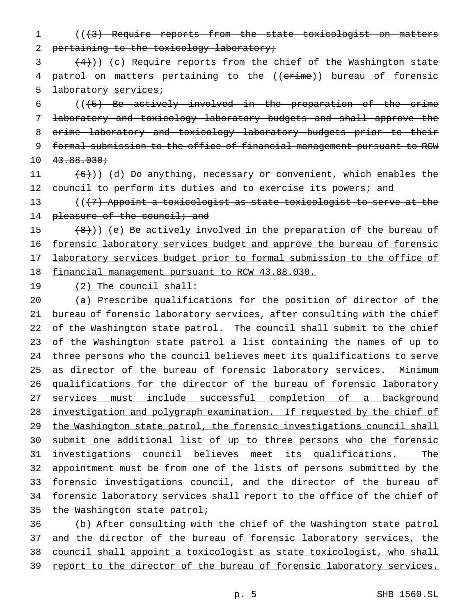1 (((3) Require reports from the state toxicologist on matters 2 pertaining to the toxicology laboratory;

 $(4)$ )) (c) Require reports from the chief of the Washington state 4 patrol on matters pertaining to the ((erime)) bureau of forensic 5 laboratory services;

 $((6)$  Be actively involved in the preparation of the crime laboratory and toxicology laboratory budgets and shall approve the crime laboratory and toxicology laboratory budgets prior to their formal submission to the office of financial management pursuant to RCW  $10 \quad 43.88.030 \, \dot{ }$ 

11  $(6)$ ) (d) Do anything, necessary or convenient, which enables the 12 council to perform its duties and to exercise its powers; and

13  $((+7)$  Appoint a toxicologist as state toxicologist to serve at the 14 pleasure of the council; and

15 (8)) (e) Be actively involved in the preparation of the bureau of forensic laboratory services budget and approve the bureau of forensic laboratory services budget prior to formal submission to the office of financial management pursuant to RCW 43.88.030.

19 (2) The council shall:

20 (a) Prescribe qualifications for the position of director of the 21 bureau of forensic laboratory services, after consulting with the chief 22 of the Washington state patrol. The council shall submit to the chief 23 of the Washington state patrol a list containing the names of up to 24 three persons who the council believes meet its qualifications to serve 25 as director of the bureau of forensic laboratory services. Minimum 26 qualifications for the director of the bureau of forensic laboratory 27 services must include successful completion of a background 28 investigation and polygraph examination. If requested by the chief of 29 the Washington state patrol, the forensic investigations council shall 30 submit one additional list of up to three persons who the forensic 31 investigations council believes meet its qualifications. The 32 appointment must be from one of the lists of persons submitted by the 33 forensic investigations council, and the director of the bureau of 34 forensic laboratory services shall report to the office of the chief of 35 the Washington state patrol; 36 (b) After consulting with the chief of the Washington state patrol

37 and the director of the bureau of forensic laboratory services, the

38 council shall appoint a toxicologist as state toxicologist, who shall

39 report to the director of the bureau of forensic laboratory services.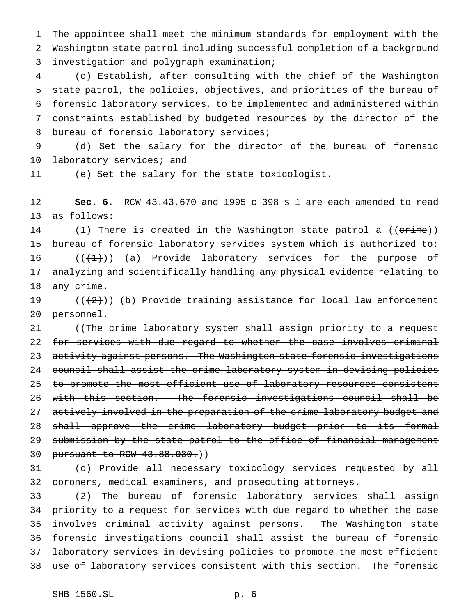1 The appointee shall meet the minimum standards for employment with the 2 Washington state patrol including successful completion of a background

3 investigation and polygraph examination;

 (c) Establish, after consulting with the chief of the Washington state patrol, the policies, objectives, and priorities of the bureau of forensic laboratory services, to be implemented and administered within constraints established by budgeted resources by the director of the 8 bureau of forensic laboratory services;

9 (d) Set the salary for the director of the bureau of forensic 10 laboratory services; and

11 (e) Set the salary for the state toxicologist.

12 **Sec. 6.** RCW 43.43.670 and 1995 c 398 s 1 are each amended to read 13 as follows:

14 (1) There is created in the Washington state patrol a ((crime)) 15 bureau of forensic laboratory services system which is authorized to: 16  $((+1))$  (a) Provide laboratory services for the purpose of 17 analyzing and scientifically handling any physical evidence relating to 18 any crime.

19  $((2))$  (b) Provide training assistance for local law enforcement 20 personnel.

21 ((The crime laboratory system shall assign priority to a request 22 for services with due regard to whether the case involves criminal 23 activity against persons. The Washington state forensic investigations 24 council shall assist the crime laboratory system in devising policies 25 to promote the most efficient use of laboratory resources consistent 26 with this section. The forensic investigations council shall be 27 actively involved in the preparation of the crime laboratory budget and 28 shall approve the crime laboratory budget prior to its formal 29 submission by the state patrol to the office of financial management 30 pursuant to RCW 43.88.030.))

31 (c) Provide all necessary toxicology services requested by all 32 coroners, medical examiners, and prosecuting attorneys.

 (2) The bureau of forensic laboratory services shall assign priority to a request for services with due regard to whether the case 35 involves criminal activity against persons. The Washington state forensic investigations council shall assist the bureau of forensic laboratory services in devising policies to promote the most efficient use of laboratory services consistent with this section. The forensic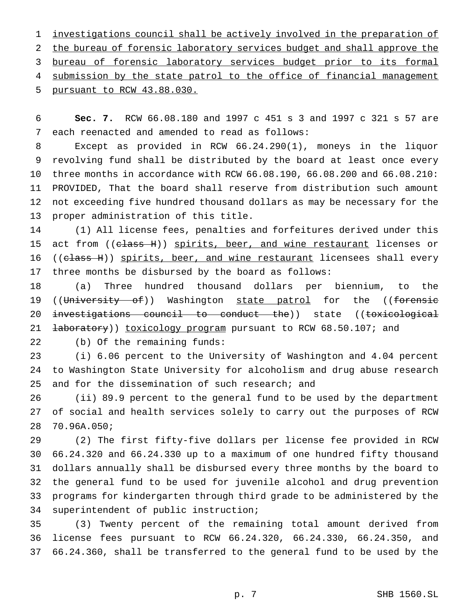investigations council shall be actively involved in the preparation of the bureau of forensic laboratory services budget and shall approve the bureau of forensic laboratory services budget prior to its formal 4 submission by the state patrol to the office of financial management pursuant to RCW 43.88.030.

 **Sec. 7.** RCW 66.08.180 and 1997 c 451 s 3 and 1997 c 321 s 57 are each reenacted and amended to read as follows:

 Except as provided in RCW 66.24.290(1), moneys in the liquor revolving fund shall be distributed by the board at least once every three months in accordance with RCW 66.08.190, 66.08.200 and 66.08.210: PROVIDED, That the board shall reserve from distribution such amount not exceeding five hundred thousand dollars as may be necessary for the proper administration of this title.

 (1) All license fees, penalties and forfeitures derived under this 15 act from ((class H)) spirits, beer, and wine restaurant licenses or 16 ((class H)) spirits, beer, and wine restaurant licensees shall every three months be disbursed by the board as follows:

 (a) Three hundred thousand dollars per biennium, to the 19 ((University of)) Washington state patrol for the ((forensic 20 investigations council to conduct the)) state ((toxicological 21 <del>laboratory</del>)) toxicology program pursuant to RCW 68.50.107; and

(b) Of the remaining funds:

 (i) 6.06 percent to the University of Washington and 4.04 percent to Washington State University for alcoholism and drug abuse research 25 and for the dissemination of such research; and

 (ii) 89.9 percent to the general fund to be used by the department of social and health services solely to carry out the purposes of RCW 70.96A.050;

 (2) The first fifty-five dollars per license fee provided in RCW 66.24.320 and 66.24.330 up to a maximum of one hundred fifty thousand dollars annually shall be disbursed every three months by the board to the general fund to be used for juvenile alcohol and drug prevention programs for kindergarten through third grade to be administered by the superintendent of public instruction;

 (3) Twenty percent of the remaining total amount derived from license fees pursuant to RCW 66.24.320, 66.24.330, 66.24.350, and 66.24.360, shall be transferred to the general fund to be used by the